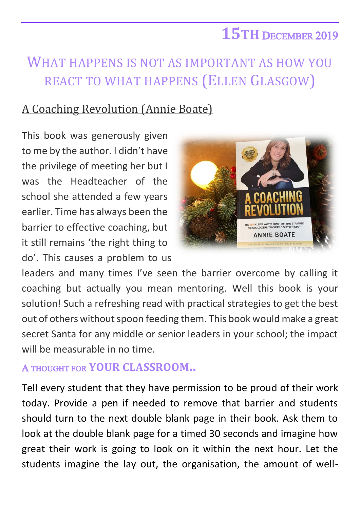## **15TH** DECEMBER 2019

## WHAT HAPPENS IS NOT AS IMPORTANT AS HOW YOU REACT TO WHAT HAPPENS (ELLEN GLASGOW)

## A Coaching Revolution (Annie Boate)

This book was generously given to me by the author. I didn't have the privilege of meeting her but I was the Headteacher of the school she attended a few years earlier. Time has always been the barrier to effective coaching, but it still remains 'the right thing to do'. This causes a problem to us



leaders and many times I've seen the barrier overcome by calling it coaching but actually you mean mentoring. Well this book is your solution! Such a refreshing read with practical strategies to get the best out of others without spoon feeding them. This book would make a great secret Santa for any middle or senior leaders in your school; the impact will be measurable in no time.

## A THOUGHT FOR **YOUR CLASSROOM..**

Tell every student that they have permission to be proud of their work today. Provide a pen if needed to remove that barrier and students should turn to the next double blank page in their book. Ask them to look at the double blank page for a timed 30 seconds and imagine how great their work is going to look on it within the next hour. Let the students imagine the lay out, the organisation, the amount of well